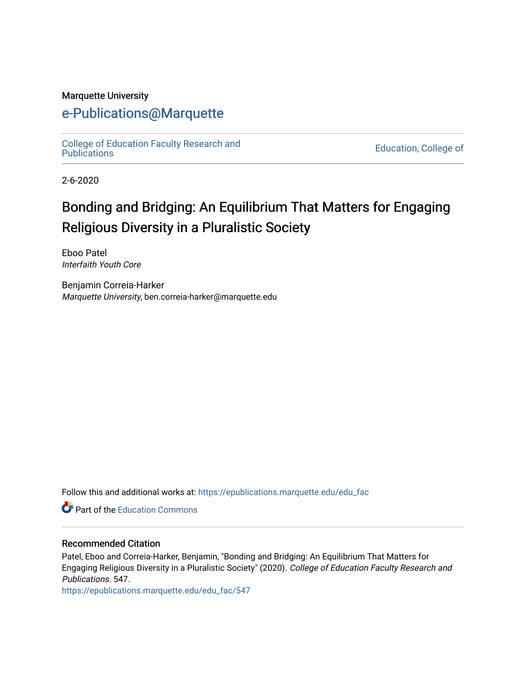#### Marquette University

# [e-Publications@Marquette](https://epublications.marquette.edu/)

College of Education Faculty Research and<br>Publications

**Education, College of** 

2-6-2020

# Bonding and Bridging: An Equilibrium That Matters for Engaging Religious Diversity in a Pluralistic Society

Eboo Patel Interfaith Youth Core

Benjamin Correia-Harker Marquette University, ben.correia-harker@marquette.edu

Follow this and additional works at: [https://epublications.marquette.edu/edu\\_fac](https://epublications.marquette.edu/edu_fac?utm_source=epublications.marquette.edu%2Fedu_fac%2F547&utm_medium=PDF&utm_campaign=PDFCoverPages) 

**P** Part of the [Education Commons](http://network.bepress.com/hgg/discipline/784?utm_source=epublications.marquette.edu%2Fedu_fac%2F547&utm_medium=PDF&utm_campaign=PDFCoverPages)

#### Recommended Citation

Patel, Eboo and Correia-Harker, Benjamin, "Bonding and Bridging: An Equilibrium That Matters for Engaging Religious Diversity in a Pluralistic Society" (2020). College of Education Faculty Research and Publications. 547.

[https://epublications.marquette.edu/edu\\_fac/547](https://epublications.marquette.edu/edu_fac/547?utm_source=epublications.marquette.edu%2Fedu_fac%2F547&utm_medium=PDF&utm_campaign=PDFCoverPages)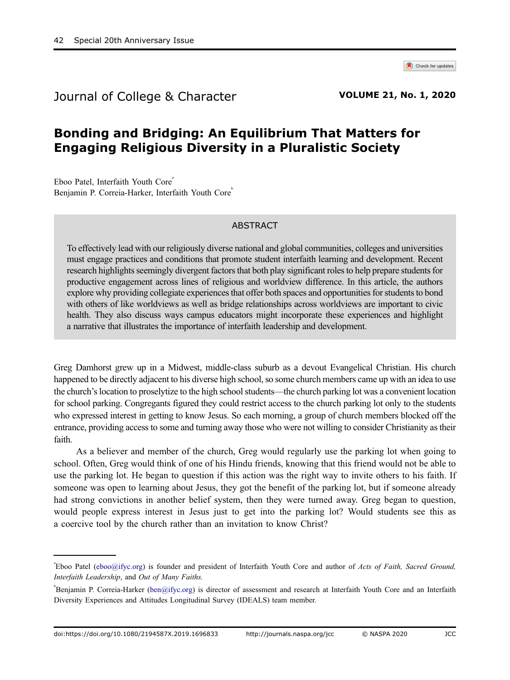

Journal of College & Character **VOLUME 21, No. 1, 2020** 

## Bonding and Bridging: An Equilibrium That Matters for Engaging Religious Diversity in a Pluralistic Society

Eboo Patel, Interfaith Youth Core<sup>®</sup> Benjamin P. Correia-Harker, Interfaith Youth Core

#### ABSTRACT

To effectively lead with our religiously diverse national and global communities, colleges and universities must engage practices and conditions that promote student interfaith learning and development. Recent research highlights seemingly divergent factors that both play significant roles to help prepare students for productive engagement across lines of religious and worldview difference. In this article, the authors explore why providing collegiate experiences that offer both spaces and opportunities for students to bond with others of like worldviews as well as bridge relationships across worldviews are important to civic health. They also discuss ways campus educators might incorporate these experiences and highlight a narrative that illustrates the importance of interfaith leadership and development.

Greg Damhorst grew up in a Midwest, middle-class suburb as a devout Evangelical Christian. His church happened to be directly adjacent to his diverse high school, so some church members came up with an idea to use the church's location to proselytize to the high school students—the church parking lot was a convenient location for school parking. Congregants figured they could restrict access to the church parking lot only to the students who expressed interest in getting to know Jesus. So each morning, a group of church members blocked off the entrance, providing accessto some and turning away those who were not willing to consider Christianity astheir faith.

As a believer and member of the church, Greg would regularly use the parking lot when going to school. Often, Greg would think of one of his Hindu friends, knowing that this friend would not be able to use the parking lot. He began to question if this action was the right way to invite others to his faith. If someone was open to learning about Jesus, they got the benefit of the parking lot, but if someone already had strong convictions in another belief system, then they were turned away. Greg began to question, would people express interest in Jesus just to get into the parking lot? Would students see this as a coercive tool by the church rather than an invitation to know Christ?

Eboo Patel [\(eboo@ifyc.org](mailto:eboo@ifyc.org)) is founder and president of Interfaith Youth Core and author of Acts of Faith, Sacred Ground, Interfaith Leadership, and Out of Many Faiths.

b Benjamin P. Correia-Harker ([ben@ifyc.org](mailto:ben@ifyc.org)) is director of assessment and research at Interfaith Youth Core and an Interfaith Diversity Experiences and Attitudes Longitudinal Survey (IDEALS) team member.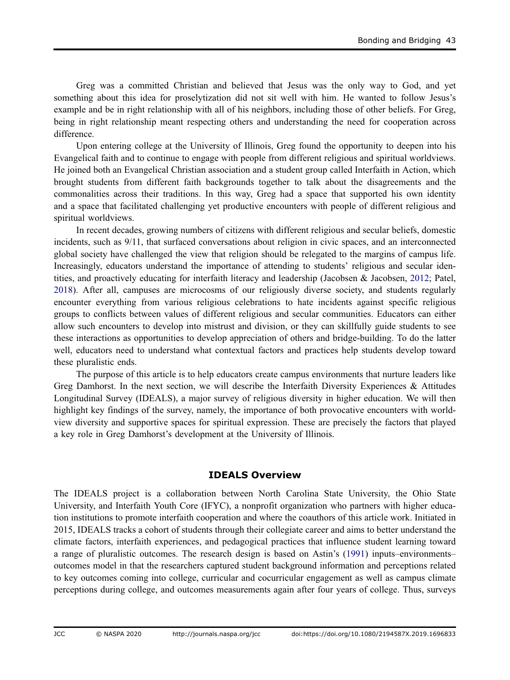Greg was a committed Christian and believed that Jesus was the only way to God, and yet something about this idea for proselytization did not sit well with him. He wanted to follow Jesus's example and be in right relationship with all of his neighbors, including those of other beliefs. For Greg, being in right relationship meant respecting others and understanding the need for cooperation across difference.

Upon entering college at the University of Illinois, Greg found the opportunity to deepen into his Evangelical faith and to continue to engage with people from different religious and spiritual worldviews. He joined both an Evangelical Christian association and a student group called Interfaith in Action, which brought students from different faith backgrounds together to talk about the disagreements and the commonalities across their traditions. In this way, Greg had a space that supported his own identity and a space that facilitated challenging yet productive encounters with people of different religious and spiritual worldviews.

<span id="page-2-1"></span>In recent decades, growing numbers of citizens with different religious and secular beliefs, domestic incidents, such as 9/11, that surfaced conversations about religion in civic spaces, and an interconnected global society have challenged the view that religion should be relegated to the margins of campus life. Increasingly, educators understand the importance of attending to students' religious and secular identities, and proactively educating for interfaith literacy and leadership (Jacobsen & Jacobsen, [2012;](#page-7-0) Patel, [2018\)](#page-7-1). After all, campuses are microcosms of our religiously diverse society, and students regularly encounter everything from various religious celebrations to hate incidents against specific religious groups to conflicts between values of different religious and secular communities. Educators can either allow such encounters to develop into mistrust and division, or they can skillfully guide students to see these interactions as opportunities to develop appreciation of others and bridge-building. To do the latter well, educators need to understand what contextual factors and practices help students develop toward these pluralistic ends.

The purpose of this article is to help educators create campus environments that nurture leaders like Greg Damhorst. In the next section, we will describe the Interfaith Diversity Experiences & Attitudes Longitudinal Survey (IDEALS), a major survey of religious diversity in higher education. We will then highlight key findings of the survey, namely, the importance of both provocative encounters with worldview diversity and supportive spaces for spiritual expression. These are precisely the factors that played a key role in Greg Damhorst's development at the University of Illinois.

#### IDEALS Overview

<span id="page-2-0"></span>The IDEALS project is a collaboration between North Carolina State University, the Ohio State University, and Interfaith Youth Core (IFYC), a nonprofit organization who partners with higher education institutions to promote interfaith cooperation and where the coauthors of this article work. Initiated in 2015, IDEALS tracks a cohort of students through their collegiate career and aims to better understand the climate factors, interfaith experiences, and pedagogical practices that influence student learning toward a range of pluralistic outcomes. The research design is based on Astin's [\(1991](#page-7-2)) inputs–environments– outcomes model in that the researchers captured student background information and perceptions related to key outcomes coming into college, curricular and cocurricular engagement as well as campus climate perceptions during college, and outcomes measurements again after four years of college. Thus, surveys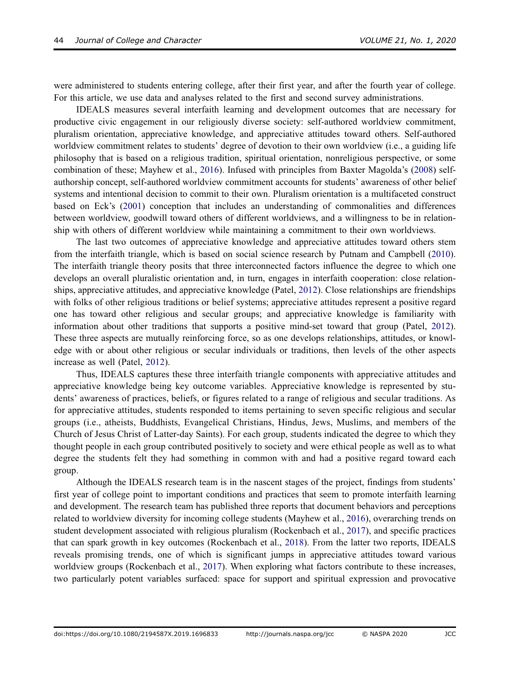were administered to students entering college, after their first year, and after the fourth year of college. For this article, we use data and analyses related to the first and second survey administrations.

<span id="page-3-0"></span>IDEALS measures several interfaith learning and development outcomes that are necessary for productive civic engagement in our religiously diverse society: self-authored worldview commitment, pluralism orientation, appreciative knowledge, and appreciative attitudes toward others. Self-authored worldview commitment relates to students' degree of devotion to their own worldview (i.e., a guiding life philosophy that is based on a religious tradition, spiritual orientation, nonreligious perspective, or some combination of these; Mayhew et al., [2016](#page-7-3)). Infused with principles from Baxter Magolda's [\(2008](#page-7-4)) selfauthorship concept, self-authored worldview commitment accounts for students' awareness of other belief systems and intentional decision to commit to their own. Pluralism orientation is a multifaceted construct based on Eck's [\(2001](#page-7-5)) conception that includes an understanding of commonalities and differences between worldview, goodwill toward others of different worldviews, and a willingness to be in relationship with others of different worldview while maintaining a commitment to their own worldviews.

<span id="page-3-4"></span><span id="page-3-1"></span>The last two outcomes of appreciative knowledge and appreciative attitudes toward others stem from the interfaith triangle, which is based on social science research by Putnam and Campbell ([2010\)](#page-7-6). The interfaith triangle theory posits that three interconnected factors influence the degree to which one develops an overall pluralistic orientation and, in turn, engages in interfaith cooperation: close relationships, appreciative attitudes, and appreciative knowledge (Patel, [2012\)](#page-7-7). Close relationships are friendships with folks of other religious traditions or belief systems; appreciative attitudes represent a positive regard one has toward other religious and secular groups; and appreciative knowledge is familiarity with information about other traditions that supports a positive mind-set toward that group (Patel, [2012\)](#page-7-7). These three aspects are mutually reinforcing force, so as one develops relationships, attitudes, or knowledge with or about other religious or secular individuals or traditions, then levels of the other aspects increase as well (Patel, [2012\)](#page-7-7).

<span id="page-3-3"></span>Thus, IDEALS captures these three interfaith triangle components with appreciative attitudes and appreciative knowledge being key outcome variables. Appreciative knowledge is represented by students' awareness of practices, beliefs, or figures related to a range of religious and secular traditions. As for appreciative attitudes, students responded to items pertaining to seven specific religious and secular groups (i.e., atheists, Buddhists, Evangelical Christians, Hindus, Jews, Muslims, and members of the Church of Jesus Christ of Latter-day Saints). For each group, students indicated the degree to which they thought people in each group contributed positively to society and were ethical people as well as to what degree the students felt they had something in common with and had a positive regard toward each group.

<span id="page-3-6"></span><span id="page-3-5"></span><span id="page-3-2"></span>Although the IDEALS research team is in the nascent stages of the project, findings from students' first year of college point to important conditions and practices that seem to promote interfaith learning and development. The research team has published three reports that document behaviors and perceptions related to worldview diversity for incoming college students (Mayhew et al., [2016\)](#page-7-3), overarching trends on student development associated with religious pluralism (Rockenbach et al., [2017\)](#page-7-8), and specific practices that can spark growth in key outcomes (Rockenbach et al., [2018\)](#page-7-9). From the latter two reports, IDEALS reveals promising trends, one of which is significant jumps in appreciative attitudes toward various worldview groups (Rockenbach et al., [2017](#page-7-8)). When exploring what factors contribute to these increases, two particularly potent variables surfaced: space for support and spiritual expression and provocative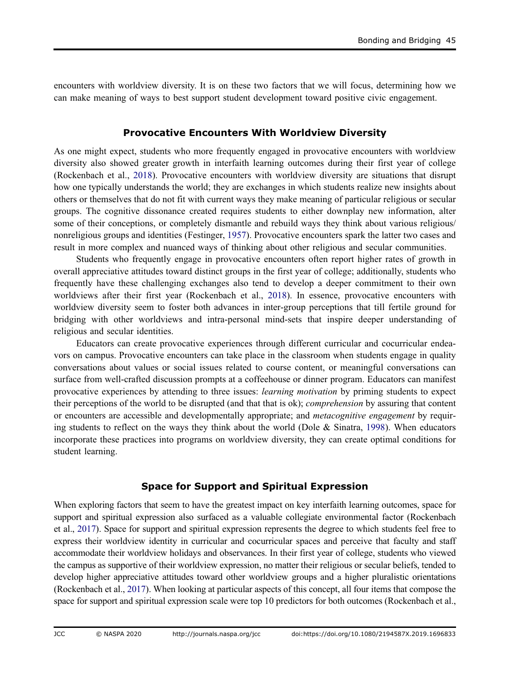encounters with worldview diversity. It is on these two factors that we will focus, determining how we can make meaning of ways to best support student development toward positive civic engagement.

#### Provocative Encounters With Worldview Diversity

As one might expect, students who more frequently engaged in provocative encounters with worldview diversity also showed greater growth in interfaith learning outcomes during their first year of college (Rockenbach et al., [2018](#page-7-9)). Provocative encounters with worldview diversity are situations that disrupt how one typically understands the world; they are exchanges in which students realize new insights about others or themselves that do not fit with current ways they make meaning of particular religious or secular groups. The cognitive dissonance created requires students to either downplay new information, alter some of their conceptions, or completely dismantle and rebuild ways they think about various religious/ nonreligious groups and identities (Festinger, [1957\)](#page-7-10). Provocative encounters spark the latter two cases and result in more complex and nuanced ways of thinking about other religious and secular communities.

<span id="page-4-1"></span>Students who frequently engage in provocative encounters often report higher rates of growth in overall appreciative attitudes toward distinct groups in the first year of college; additionally, students who frequently have these challenging exchanges also tend to develop a deeper commitment to their own worldviews after their first year (Rockenbach et al., [2018\)](#page-7-9). In essence, provocative encounters with worldview diversity seem to foster both advances in inter-group perceptions that till fertile ground for bridging with other worldviews and intra-personal mind-sets that inspire deeper understanding of religious and secular identities.

<span id="page-4-0"></span>Educators can create provocative experiences through different curricular and cocurricular endeavors on campus. Provocative encounters can take place in the classroom when students engage in quality conversations about values or social issues related to course content, or meaningful conversations can surface from well-crafted discussion prompts at a coffeehouse or dinner program. Educators can manifest provocative experiences by attending to three issues: learning motivation by priming students to expect their perceptions of the world to be disrupted (and that that is ok); *comprehension* by assuring that content or encounters are accessible and developmentally appropriate; and *metacognitive engagement* by requiring students to reflect on the ways they think about the world (Dole  $\&$  Sinatra, [1998\)](#page-7-11). When educators incorporate these practices into programs on worldview diversity, they can create optimal conditions for student learning.

## Space for Support and Spiritual Expression

When exploring factors that seem to have the greatest impact on key interfaith learning outcomes, space for support and spiritual expression also surfaced as a valuable collegiate environmental factor (Rockenbach et al., [2017\)](#page-7-8). Space for support and spiritual expression represents the degree to which students feel free to express their worldview identity in curricular and cocurricular spaces and perceive that faculty and staff accommodate their worldview holidays and observances. In their first year of college, students who viewed the campus as supportive of their worldview expression, no matter their religious or secular beliefs, tended to develop higher appreciative attitudes toward other worldview groups and a higher pluralistic orientations (Rockenbach et al., [2017\)](#page-7-8). When looking at particular aspects of this concept, all four items that compose the space for support and spiritual expression scale were top 10 predictors for both outcomes (Rockenbach et al.,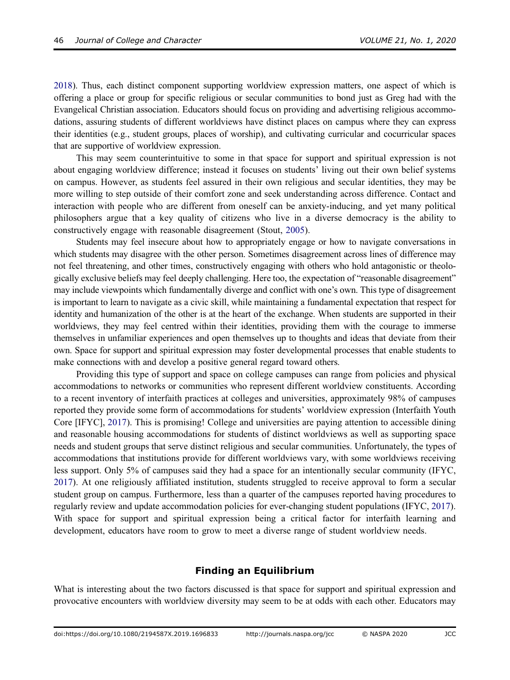[2018](#page-7-9)). Thus, each distinct component supporting worldview expression matters, one aspect of which is offering a place or group for specific religious or secular communities to bond just as Greg had with the Evangelical Christian association. Educators should focus on providing and advertising religious accommodations, assuring students of different worldviews have distinct places on campus where they can express their identities (e.g., student groups, places of worship), and cultivating curricular and cocurricular spaces that are supportive of worldview expression.

This may seem counterintuitive to some in that space for support and spiritual expression is not about engaging worldview difference; instead it focuses on students' living out their own belief systems on campus. However, as students feel assured in their own religious and secular identities, they may be more willing to step outside of their comfort zone and seek understanding across difference. Contact and interaction with people who are different from oneself can be anxiety-inducing, and yet many political philosophers argue that a key quality of citizens who live in a diverse democracy is the ability to constructively engage with reasonable disagreement (Stout, [2005\)](#page-7-12).

<span id="page-5-2"></span>Students may feel insecure about how to appropriately engage or how to navigate conversations in which students may disagree with the other person. Sometimes disagreement across lines of difference may not feel threatening, and other times, constructively engaging with others who hold antagonistic or theologically exclusive beliefs may feel deeply challenging. Here too, the expectation of "reasonable disagreement" may include viewpoints which fundamentally diverge and conflict with one's own. This type of disagreement is important to learn to navigate as a civic skill, while maintaining a fundamental expectation that respect for identity and humanization of the other is at the heart of the exchange. When students are supported in their worldviews, they may feel centred within their identities, providing them with the courage to immerse themselves in unfamiliar experiences and open themselves up to thoughts and ideas that deviate from their own. Space for support and spiritual expression may foster developmental processes that enable students to make connections with and develop a positive general regard toward others.

<span id="page-5-1"></span>Providing this type of support and space on college campuses can range from policies and physical accommodations to networks or communities who represent different worldview constituents. According to a recent inventory of interfaith practices at colleges and universities, approximately 98% of campuses reported they provide some form of accommodations for students' worldview expression (Interfaith Youth Core [IFYC], [2017\)](#page-7-13). This is promising! College and universities are paying attention to accessible dining and reasonable housing accommodations for students of distinct worldviews as well as supporting space needs and student groups that serve distinct religious and secular communities. Unfortunately, the types of accommodations that institutions provide for different worldviews vary, with some worldviews receiving less support. Only 5% of campuses said they had a space for an intentionally secular community (IFYC, [2017\)](#page-7-14). At one religiously affiliated institution, students struggled to receive approval to form a secular student group on campus. Furthermore, less than a quarter of the campuses reported having procedures to regularly review and update accommodation policies for ever-changing student populations (IFYC, [2017\)](#page-7-14). With space for support and spiritual expression being a critical factor for interfaith learning and development, educators have room to grow to meet a diverse range of student worldview needs.

#### Finding an Equilibrium

<span id="page-5-0"></span>What is interesting about the two factors discussed is that space for support and spiritual expression and provocative encounters with worldview diversity may seem to be at odds with each other. Educators may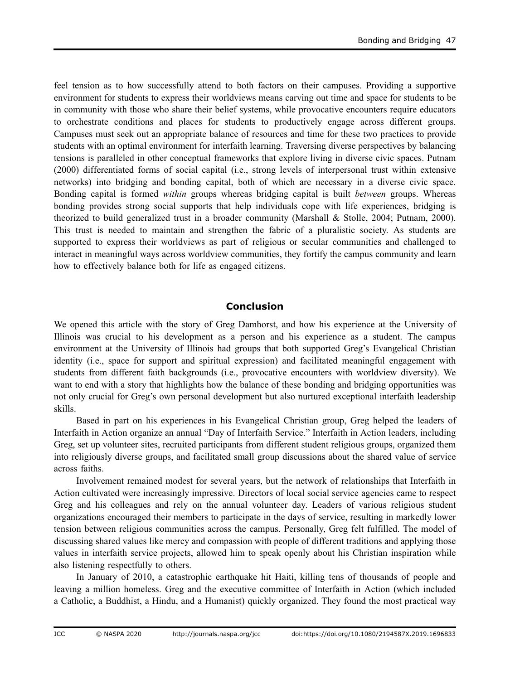feel tension as to how successfully attend to both factors on their campuses. Providing a supportive environment for students to express their worldviews means carving out time and space for students to be in community with those who share their belief systems, while provocative encounters require educators to orchestrate conditions and places for students to productively engage across different groups. Campuses must seek out an appropriate balance of resources and time for these two practices to provide students with an optimal environment for interfaith learning. Traversing diverse perspectives by balancing tensions is paralleled in other conceptual frameworks that explore living in diverse civic spaces. Putnam (2000) differentiated forms of social capital (i.e., strong levels of interpersonal trust within extensive networks) into bridging and bonding capital, both of which are necessary in a diverse civic space. Bonding capital is formed within groups whereas bridging capital is built between groups. Whereas bonding provides strong social supports that help individuals cope with life experiences, bridging is theorized to build generalized trust in a broader community (Marshall & Stolle, 2004; Putnam, 2000). This trust is needed to maintain and strengthen the fabric of a pluralistic society. As students are supported to express their worldviews as part of religious or secular communities and challenged to interact in meaningful ways across worldview communities, they fortify the campus community and learn how to effectively balance both for life as engaged citizens.

## Conclusion

We opened this article with the story of Greg Damhorst, and how his experience at the University of Illinois was crucial to his development as a person and his experience as a student. The campus environment at the University of Illinois had groups that both supported Greg's Evangelical Christian identity (i.e., space for support and spiritual expression) and facilitated meaningful engagement with students from different faith backgrounds (i.e., provocative encounters with worldview diversity). We want to end with a story that highlights how the balance of these bonding and bridging opportunities was not only crucial for Greg's own personal development but also nurtured exceptional interfaith leadership skills.

Based in part on his experiences in his Evangelical Christian group, Greg helped the leaders of Interfaith in Action organize an annual "Day of Interfaith Service." Interfaith in Action leaders, including Greg, set up volunteer sites, recruited participants from different student religious groups, organized them into religiously diverse groups, and facilitated small group discussions about the shared value of service across faiths.

Involvement remained modest for several years, but the network of relationships that Interfaith in Action cultivated were increasingly impressive. Directors of local social service agencies came to respect Greg and his colleagues and rely on the annual volunteer day. Leaders of various religious student organizations encouraged their members to participate in the days of service, resulting in markedly lower tension between religious communities across the campus. Personally, Greg felt fulfilled. The model of discussing shared values like mercy and compassion with people of different traditions and applying those values in interfaith service projects, allowed him to speak openly about his Christian inspiration while also listening respectfully to others.

In January of 2010, a catastrophic earthquake hit Haiti, killing tens of thousands of people and leaving a million homeless. Greg and the executive committee of Interfaith in Action (which included a Catholic, a Buddhist, a Hindu, and a Humanist) quickly organized. They found the most practical way